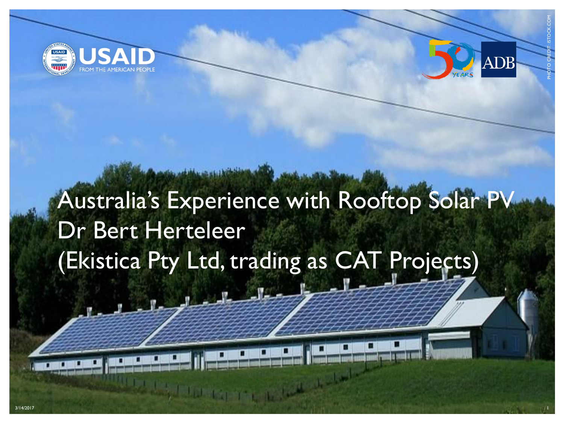



PHOTO CREDIT: ISTOCK.COM

# Australia's Experience with Rooftop Solar PV Dr Bert Herteleer (Ekistica Pty Ltd, trading as CAT Projects)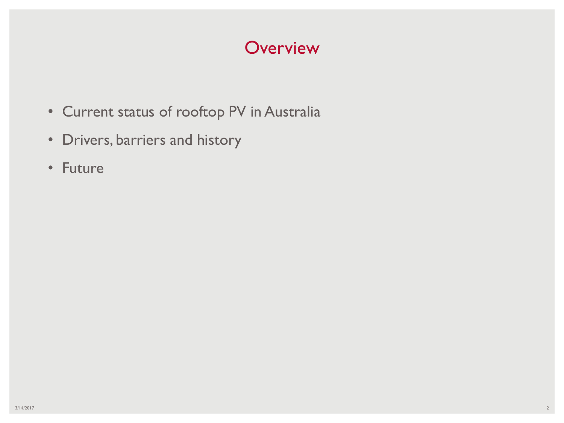#### **Overview**

- Current status of rooftop PV in Australia
- Drivers, barriers and history
- Future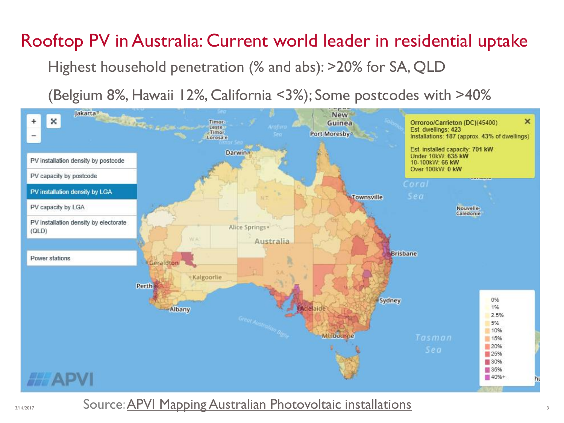# Rooftop PV in Australia: Current world leader in residential uptake

Highest household penetration (% and abs): >20% for SA, QLD

(Belgium 8%, Hawaii 12%, California <3%); Some postcodes with >40%



3/14/2017 Source: <u>[APVI Mapping Australian Photovoltaic installations](http://pv-map.apvi.org.au/historical4/-26.75/133.95)</u>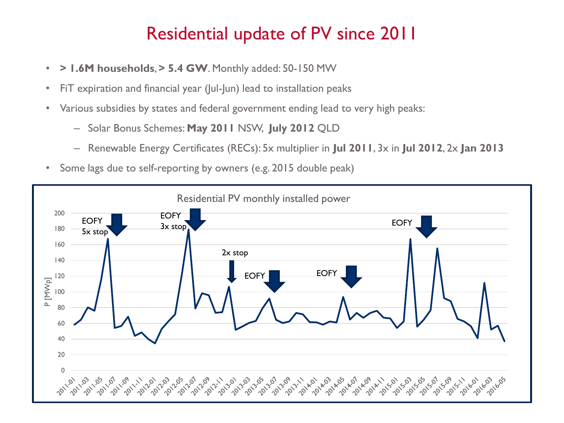## Residential update of PV since 2011

- **> 1.6M households**, **> 5.4 GW**. Monthly added: 50-150 MW
- FiT expiration and financial year (Jul-Jun) lead to installation peaks
- Various subsidies by states and federal government ending lead to very high peaks:
	- Solar Bonus Schemes: **May 2011** NSW, **July 2012** QLD
	- Renewable Energy Certificates (RECs): 5x multiplier in **Jul 2011**, 3x in **Jul 2012**, 2x **Jan 2013**
- Some lags due to self-reporting by owners (e.g. 2015 double peak)

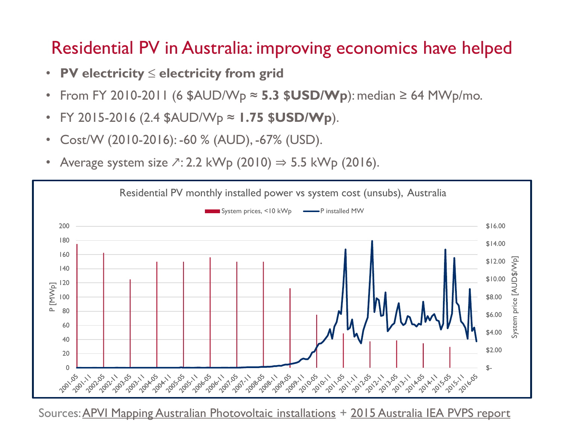### Residential PV in Australia: improving economics have helped

- **PV electricity ≤ electricity from grid**
- From FY 2010-2011 (6  $$AUD/WD \approx 5.3$   $$USD/WD$ ): median  $\geq 64$  MWp/mo.
- FY 2015-2016 (2.4 \$AUD/Wp ≈ **1.75 \$USD/Wp**).
- Cost/W (2010-2016): -60 % (AUD), -67% (USD).
- Average system size  $\sqrt{2}$ : 2.2 kWp (2010)  $\Rightarrow$  5.5 kWp (2016).



Sources: [APVI Mapping Australian Photovoltaic installations](http://pv-map.apvi.org.au/historical4/-26.75/133.95) + [2015 Australia IEA PVPS report](http://www.iea-pvps.org/index.php?id=93&eID=dam_frontend_push&docID=3223)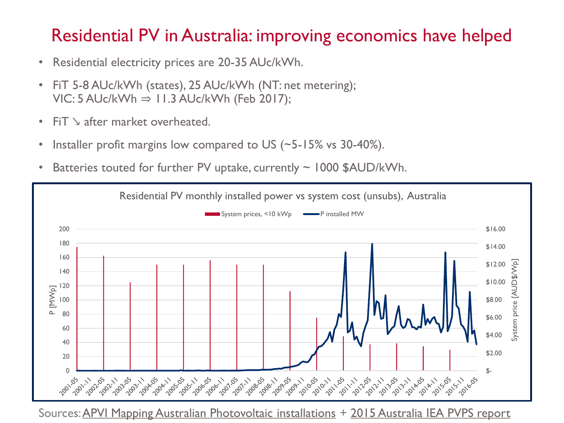#### Residential PV in Australia: improving economics have helped

- Residential electricity prices are 20-35 AUc/kWh.
- FiT 5-8 AUc/kWh (states), 25 AUc/kWh (NT: net metering);  $VIC: 5 AUC/kWh \Rightarrow 11.3 AUC/kWh$  (Feb 2017);
- FiT ↘ after market overheated.
- Installer profit margins low compared to US (~5-15% vs 30-40%).
- Batteries touted for further PV uptake, currently  $\sim$  1000 \$AUD/kWh.



Sources: [APVI Mapping Australian Photovoltaic installations](http://pv-map.apvi.org.au/historical4/-26.75/133.95) + [2015 Australia IEA PVPS report](http://www.iea-pvps.org/index.php?id=93&eID=dam_frontend_push&docID=3223)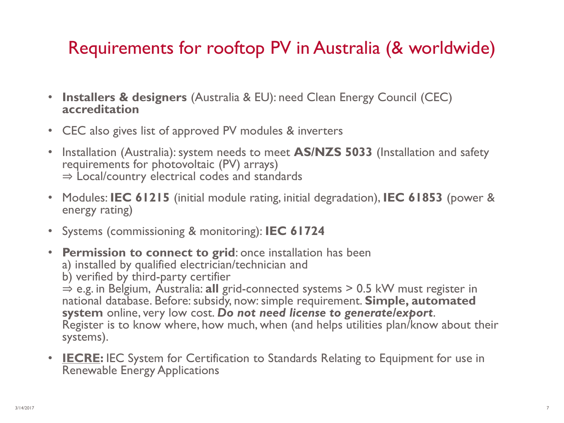# Requirements for rooftop PV in Australia (& worldwide)

- **Installers & designers** (Australia & EU): need Clean Energy Council (CEC) **accreditation**
- CEC also gives list of approved PV modules & inverters
- Installation (Australia): system needs to meet **AS/NZS 5033** (Installation and safety requirements for photovoltaic (PV) arrays) ⇒ Local/country electrical codes and standards
- Modules: **IEC 61215** (initial module rating, initial degradation), **IEC 61853** (power & energy rating)
- Systems (commissioning & monitoring): **IEC 61724**
- **Permission to connect to grid**: once installation has been
	- a) installed by qualified electrician/technician and
	- b) verified by third-party certifier

⇒ e.g. in Belgium, Australia: **all** grid-connected systems > 0.5 kW must register in national database. Before: subsidy, now: simple requirement. **Simple, automated system** online, very low cost. *Do not need license to generate/export*. Register is to know where, how much, when (and helps utilities plan/know about their systems).

• **[IECRE:](http://www.iecre.org/)** IEC System for Certification to Standards Relating to Equipment for use in Renewable Energy Applications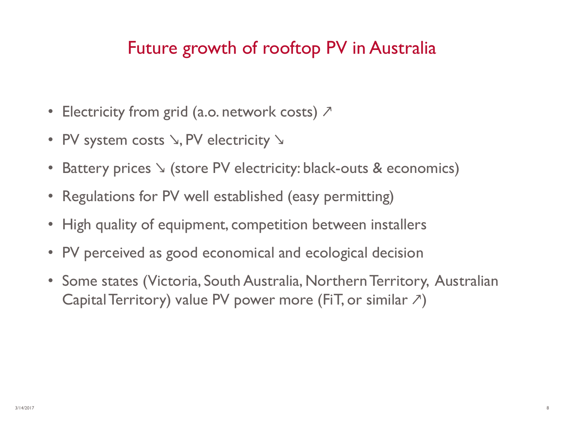## Future growth of rooftop PV in Australia

- Electricity from grid (a.o. network costs)  $\sum$
- PV system costs  $\setminus$ , PV electricity  $\setminus$
- Battery prices  $\searrow$  (store PV electricity: black-outs & economics)
- Regulations for PV well established (easy permitting)
- High quality of equipment, competition between installers
- PV perceived as good economical and ecological decision
- Some states (Victoria, South Australia, Northern Territory, Australian Capital Territory) value PV power more (FiT, or similar  $\nabla$ )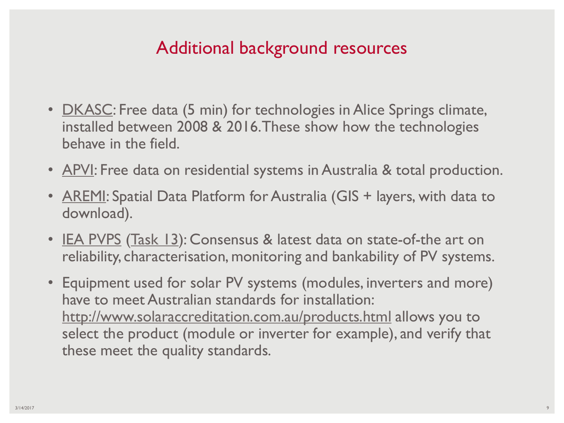#### Additional background resources

- <u>[DKASC](http://dkasolarcentre.com.au/locations/alice-springs)</u>: Free data (5 min) for technologies in Alice Springs climate, installed between 2008 & 2016. These show how the technologies behave in the field.
- [APVI](http://pv-map.apvi.org.au/): Free data on residential systems in Australia & total production.
- **[AREMI:](http://nationalmap.gov.au/renewables/)** Spatial Data Platform for Australia (GIS + layers, with data to download).
- [IEA PVPS](http://www.iea-pvps.org/) ([Task 13](http://www.iea-pvps.org/index.php?id=57)): Consensus & latest data on state-of-the art on reliability, characterisation, monitoring and bankability of PV systems.
- Equipment used for solar PV systems (modules, inverters and more) have to meet Australian standards for installation: <http://www.solaraccreditation.com.au/products.html> allows you to select the product (module or inverter for example), and verify that these meet the quality standards.